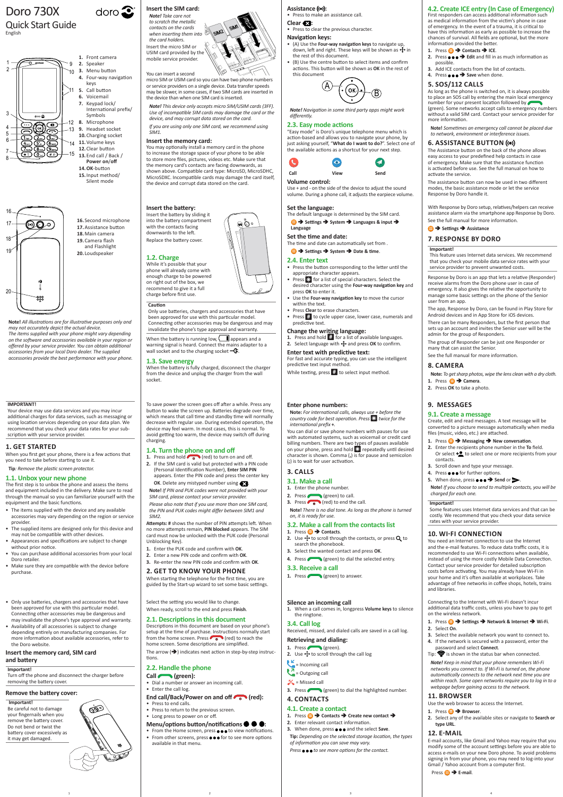**Note!** *All illustrations are for illustrative purposes only and may not accurately depict the actual device.*

> lect the setting you would like to change When ready, scroll to the end and press **Finish**.

### **Assistance ((e)):**

*The items supplied with your phone might vary depending on the software and accessories available in your region or offered by your service provider. You can obtain additional accessories from your local Doro dealer. The supplied accessories provide the best performance with your phone.*

> The arrow  $(\rightarrow)$  indicates next action in step-by-step instructions.

# **2.1. Descriptions in this document**

- From the Home screen, press  $\bullet \bullet \bullet$  to view notifications.
- From other screens, press  $\bullet \bullet \bullet$  for to see more options available in that menu.

Descriptions in this document are based on your phone's setup at the time of purchase. Instructions normally start from the home screen. Press  $\bullet$   $\bullet$  (red) to reach the home screen. Some descriptions are simplified.

# **2.2. Handle the phone**

**Call (green):**

- Dial a number or answer an incoming call.
- Enter the call log.

# End call/Back/Power on and off (red):

- **1.** Press **<b>iii** → Contacts → Create new contact →
- **2.** Enter relevant contact information.
- **3.** When done, press  $\bullet \bullet \bullet$  and the select Save.
- **Tip:** *Depending on the selected storage location, the types of information you can save may vary.*

Press  $\bullet \bullet \bullet$  to see more options for the contact.

- Press to end calls.
- Press to return to the previous screen.
- Long press to power on or off.

# **Menu/options button/notifications :**

# **Silence an incoming call**

**1.** When a call comes in, longpress **Volume keys** to silence the ringtone.

# **3.4. Call log**

Received, missed, and dialed calls are saved in a call log.

### **Retrieving and dialing:**

1. Press (green). **2.** Use  $\bigoplus$  to scroll through the call log

 $\epsilon$  = Incoming call

 $\overline{a}$  = Outgoing call

 $\mathbb{K}$  = Missed call

**3.** Press (green) to dial the highlighted number.

**4. CONTACTS**

# **4.1. Create a contact**

# Doro 730X Quick Start Guide

English

# **Insert the SIM card:**

*Note! Take care not to scratch the metallic contacts on the cards when inserting them into the card holders.* Insert the micro SIM or USIM card provided by the mobile service provider.

# You can insert a second

micro SIM or USIM card so you can have two phone numbers or service providers on a single device. Data transfer speeds may be slower, in some cases, if two SIM cards are inserted in the device than when one SIM card is inserted.

*Note! This device only accepts micro SIM/USIM cards (3FF). Use of incompatible SIM cards may damage the card or the device, and may corrupt data stored on the card.* 

- **1.** Press and hold  $\bullet$  (red) to turn on and off.
- **2.** If the SIM card is valid but protected with a PIN code (Personal Identification Number), **Enter SIM PIN** appears. Enter the PIN code and press the center key
- **OK.** Delete any mistyped number using **Note!** *If PIN and PUK codes were not provided with your*
- *SIM card, please contact your service provider. Please also note that if you use more than one SIM card,*
- *the PIN and PUK codes might differ between SIM1 and SIM2.*
- **Attempts: #** shows the number of PIN attempts left. When no more attempts remain, **PIN blocked** appears. The SIM card must now be unlocked with the PUK code (Personal Unblocking Key).
- **1.** Enter the PUK code and confirm with **OK**.
- **2.** Enter a new PIN code and confirm with **OK**. **3.** Re-enter the new PIN code and confirm with **OK**.
- **2. GET TO KNOW YOUR PHONE**

*If you are using only one SIM card, we recommend using SIM1.*

### **Insert the memory card:**

You may optionally install a memory card in the phone to increase the storage space of your phone to be able to store more files, pictures, videos etc. Make sure that the memory card's contacts are facing downwards, as shown above. Compatible card type: MicroSD, MicroSDHC, MicroSDXC. Incompatible cards may damage the card itself, the device and corrupt data stored on the card.

# **Insert the battery:**

# **1.2. Charge**

While it's possible that your phone will already come with enough charge to be powered on right out of the box, we recommend to give it a full charge before first use.

# **Caution**

Only use batteries, chargers and accessories that have been approved for use with this particular model. Connecting other accessories may be dangerous and may invalidate the phone's type approval and warranty.

When the battery is running low,  $\Box$  appears and a warning signal is heard. Connect the mains adapter to a wall socket and to the charging socket  $-\mathbb{G}$ .

### **1.3. Save energy**

- **1.** Enter the phone number.
- **2.** Press (  $\bigcirc$  (green) to call. **3.** Press  $\left( \begin{matrix} 1 \\ 0 \end{matrix} \right)$  (red) to end the call.

When the battery is fully charged, disconnect the charger from the device and unplug the charger from the wall socket.

### **3.2. Make a call from the contacts list 1.** Press **<b>□ →** Contacts.

- **2.** Use  $\overrightarrow{P}$  to scroll through the contacts, or press **Q** to search the phonebook.
- **3.** Select the wanted contact and press **OK**.
- **4.** Press (green) to dial the selected entry.

To save power the screen goes off after a while. Press any button to wake the screen up. Batteries degrade over time, which means that call time and standby time will normally decrease with regular use. During extended operation, the device may feel warm. In most cases, this is normal. To avoid getting too warm, the device may switch off during charging.

# **1.4. Turn the phone on and off**

**<b>B** → Settings → Assistance **7. RESPONSE BY DORO**

When starting the telephone for the first time, you are guided by the Start-up wizard to set some basic settings.

1. Press  $\bigoplus$  > Camera. **2.** Press **OK** to take a photo.

- Press to make an assistance call.
- **Clear :**
- Press to clear the previous character.

### **Navigation keys:**

**3.** Scroll down and type your message. 4. Press  $\bullet \bullet \bullet$  for further options. **5.** When done, press  $\bullet \bullet \bullet \bullet$  Send or  $\triangleright$ .

- (A) Use the **Four-way navigation keys** to navigate up, down, left and right. These keys will be shown as  $\oplus$  in the rest of this document.
- (B) Use the centre button to select items and confirm actions. This button will be shown as **OK** in the rest of this document



*Note! Navigation in some third party apps might work differently.*

### **2.3. Easy mode actions**

"Easy mode" is Doro's unique telephone menu which is action-based and allows you to navigate your phone, by just asking yourself, "**What do I want to do?**". Select one of the available actions as a shortcut for your next step.

> mnecting to the Internet with Wi-Fi doesn't incu additional data traffic costs, unless you have to pay to get on the wireless network.

**1.** Press **<b>B** → Settings → Network & Internet → Wi-Fi.





- **3.** Select the available network you want to connect to**.**
- **4.** If the network is secured with a password, enter the password and select **Connect**.
- Tip:  $\widehat{\mathcal{P}}$  is shown in the status bar when connected.

### **Volume control:**

Use + and - on the side of the device to adjust the sound volume. During a phone call, it adjusts the earpiece volume.

### **Set the language:**

The default language is determined by the SIM card.  $\bigoplus$  **→** Settings → System → Languages & input → **Language**

# **Set the time and date:**

The time and date can automatically set from .

# **<b>B** → Settings → System → Date & time.

- **2.4. Enter text**
- Press the button corresponding to the letter until the appropriate character appears.
- **Press**  $\mathbf{E}$  for a list of special characters. Select the desired character using the **Four-way navigation key** and press **OK** to enter it.
- Use the **Four-way navigation key** to move the cursor within the text.
- Press **Clear** to erase characters.
- Press # to cycle upper case, lower case, numerals and predictive text.

# **Change the writing language:**

- **1.** Press and hold  $\frac{1}{H}$  for a list of available languages.
- **2.** Select language with  $\bigoplus$  and press OK to confirm.

## **Enter text with predictive text:**

For fast and accurate typing, you can use the intelligent predictive text input method.

While texting, press  $\ddot{x}$  to select input method.

# **Enter phone numbers:**

**Note:** *For international calls, always use + before the country code for best operation. Press* \* *twice for the international prefix* **+***.*

You can dial or save phone numbers with pauses for use with automated systems, such as voicemail or credit card billing numbers. There are two types of pauses available on your phone, press and hold  $*$  repeatedly until desired character is shown. Comma (**,**) is for pause and semicolon (**;**) is to wait for user activation.

# **3. CALLS**

# **3.1. Make a call**

**Note!** *There is no dial tone. As long as the phone is turned on, it is ready for use.*

# **3.3. Receive a call**

1. Press (green) to answer.

# **4.2. Create ICE entry (In Case of Emergency)**

Insert the battery by sliding it into the battery compartment with the contacts facing downwards to the left. Replace the battery cover. **16.**Second microphone

First responders can access additional information such as medical information from the victim's phone in case of emergency. In the event of a trauma, it is critical to have this information as early as possible to increase the chances of survival. All fields are optional, but the more information provided the better.

**2.** Press ●●● → Edit and fill in as much information as

possible.

**3.** Add ICE contacts from the list of contacts. **4.** Press ●●● → Save when done. **5. SOS/112 CALLS**

As long as the phone is switched on, it is always possible to place an SOS call by entering the main local emergency

number for your present location followed by

1. Press  $\bigoplus$   $\rightarrow$  Contacts  $\rightarrow$  ICE.

(green). Some networks accept calls to emergency numbers without a valid SIM card. Contact your service provider for

more information.

**Note!** *Sometimes an emergency call cannot be placed due to network, environment or interference issues.* **6. ASSISTANCE BUTTON** 

The Assistance button on the back of the phone allows easy access to your predefined help contacts in case of emergency. Make sure that the assistance function is activated before use. See the full manual on how to

activate the service.

The assistance button can now be used in two different modes, the basic assistance mode or let the service

Response by Doro handle it.

With Response by Doro setup, relatives/helpers can receive assistance alarm via the smartphone app Response by Doro.

See the full manual for more information.

**Important!**

This feature uses Internet data services. We recommend that you check your mobile data service rates with your

service provider to prevent unwanted costs.

Response by Doro is an app that lets a relative (Responder) receive alarms from the Doro phone user in case of emergency. It also gives the relative the opportunity to manage some basic settings on the phone of the Senior

user from an app.

The app, Response by Doro, can be found in Play Store for Android devices and in App Store for iOS devices. There can be many Responders, but the first person that sets up an account and invites the Senior user will be the

admin for the group of Responders.

The group of Responder can be just one Responder or

many that can assist the Senior. See the full manual for more information.

**8. CAMERA**

**Note:** *To get sharp photos, wipe the lens clean with a dry cloth.*

**9. MESSAGES**

**9.1. Create a message**

Create, edit and read messages. A text message will be converted to a picture message automatically when media

files (music, video, etc.) are attached.

contacts.

**Note!** *If you choose to send to multiple contacts, you will be* 

*charged for each one.*

**Important!**

Some features uses Internet data services and that can be costly. We recommend that you check your data service

rates with your service provider. **10. WI-FI CONNECTION**

You need an Internet connection to use the Internet and the e-mail features. To reduce data traffic costs, it is recommended to use Wi-Fi connections when available, instead of using the more costly Mobile Data Connection. Contact your service provider for detailed subscription costs before activating. You may already have Wi-Fi in your home and it's often available at workplaces. Take advantage of free networks in coffee shops, hotels, trains

**1.** Press **<b>A** → Messaging → New conversation. **2.** Enter the recipients phone number in the **To** field. Or select  $\pm \bullet$  to select one or more recipients from your

and libraries.

**2.** Select **On**.

*Note! Keep in mind that your phone remembers Wi-Fi networks you connect to. If Wi-Fi is turned on, the phone automatically connects to the network next time you are within reach. Some open networks require you to log in to a webpage before gaining access to the network.*

# **11. BROWSER**

Use the web browser to access the Internet.

- **1.** Press **Browser**.
- **2.** Select any of the available sites or navigate to **Search or type URL**.

# **12. E-MAIL**

E-mail accounts, like Gmail and Yahoo may require that you modify some of the account settings before you are able to access e-mails on your new Doro phone. To avoid problems signing in from your phone, you may need to log-into your Gmail / Yahoo account from a computer first.

Press **E-mail**.

1 and  $\begin{array}{ccc} 1 & 3 & 4 \end{array}$ 





**15.**Input method/ Silent mode

doro $\mathbf{\hat{z}}$ 

**17.**Assistance button **18.**Main camera **19.**Camera flash and Flashlight **20.** Loudspeaker

- Only use batteries, chargers and accessories that have been approved for use with this particular model. Connecting other accessories may be dangerous and may invalidate the phone's type approval and warranty.
- Availability of all accessories is subject to change depending entirely on manufacturing companies. For more information about available accessories, refer to the Doro website.

### **Insert the memory card, SIM card and battery**

### **Important!**

Turn off the phone and disconnect the charger before removing the battery cover.

QD.

### **Remove the battery cover:**

### **Important!**

Be careful not to damage your fingernails when you remove the battery cover. Do not bend or twist the battery cover excessively as it may get damaged.

### **IMPORTANT!**

Your device may use data services and you may incur additional charges for data services, such as messaging or using location services depending on your data plan. We recommend that you check your data rates for your subscription with your service provider.

# **1. GET STARTED**

When you first get your phone, there is a few actions that you need to take before starting to use it.

**Tip***: Remove the plastic screen protector.*

# **1.1. Unbox your new phone**

The first step is to unbox the phone and assess the items and equipment included in the delivery. Make sure to read through the manual so you can familiarize yourself with the equipment and the basic functions.

- The items supplied with the device and any available accessories may vary depending on the region or service provider.
- The supplied items are designed only for this device and may not be compatible with other devices.
- Appearances and specifications are subject to change without prior notice.
- You can purchase additional accessories from your local Doro retailer.
- Make sure they are compatible with the device before purchase.